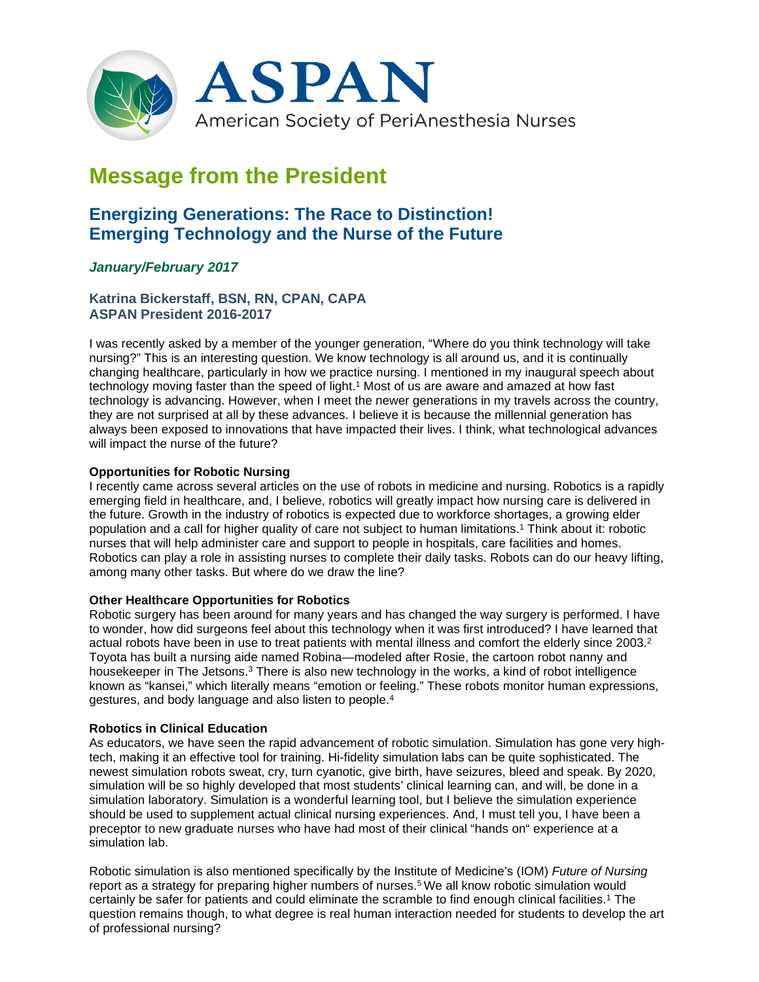

# **Message from the President**

## **Energizing Generations: The Race to Distinction! Emerging Technology and the Nurse of the Future**

### *January/February 2017*

**Katrina Bickerstaff, BSN, RN, CPAN, CAPA ASPAN President 2016-2017**

I was recently asked by a member of the younger generation, "Where do you think technology will take nursing?" This is an interesting question. We know technology is all around us, and it is continually changing healthcare, particularly in how we practice nursing. I mentioned in my inaugural speech about technology moving faster than the speed of light.1 Most of us are aware and amazed at how fast technology is advancing. However, when I meet the newer generations in my travels across the country, they are not surprised at all by these advances. I believe it is because the millennial generation has always been exposed to innovations that have impacted their lives. I think, what technological advances will impact the nurse of the future?

#### **Opportunities for Robotic Nursing**

I recently came across several articles on the use of robots in medicine and nursing. Robotics is a rapidly emerging field in healthcare, and, I believe, robotics will greatly impact how nursing care is delivered in the future. Growth in the industry of robotics is expected due to workforce shortages, a growing elder population and a call for higher quality of care not subject to human limitations.1 Think about it: robotic nurses that will help administer care and support to people in hospitals, care facilities and homes. Robotics can play a role in assisting nurses to complete their daily tasks. Robots can do our heavy lifting, among many other tasks. But where do we draw the line?

#### **Other Healthcare Opportunities for Robotics**

Robotic surgery has been around for many years and has changed the way surgery is performed. I have to wonder, how did surgeons feel about this technology when it was first introduced? I have learned that actual robots have been in use to treat patients with mental illness and comfort the elderly since 2003.<sup>2</sup> Toyota has built a nursing aide named Robina—modeled after Rosie, the cartoon robot nanny and housekeeper in The Jetsons.<sup>3</sup> There is also new technology in the works, a kind of robot intelligence known as "kansei," which literally means "emotion or feeling." These robots monitor human expressions, gestures, and body language and also listen to people.4

#### **Robotics in Clinical Education**

As educators, we have seen the rapid advancement of robotic simulation. Simulation has gone very hightech, making it an effective tool for training. Hi-fidelity simulation labs can be quite sophisticated. The newest simulation robots sweat, cry, turn cyanotic, give birth, have seizures, bleed and speak. By 2020, simulation will be so highly developed that most students' clinical learning can, and will, be done in a simulation laboratory. Simulation is a wonderful learning tool, but I believe the simulation experience should be used to supplement actual clinical nursing experiences. And, I must tell you, I have been a preceptor to new graduate nurses who have had most of their clinical "hands on" experience at a simulation lab.

Robotic simulation is also mentioned specifically by the Institute of Medicine's (IOM) *Future of Nursing* report as a strategy for preparing higher numbers of nurses.<sup>5</sup> We all know robotic simulation would certainly be safer for patients and could eliminate the scramble to find enough clinical facilities.1 The question remains though, to what degree is real human interaction needed for students to develop the art of professional nursing?